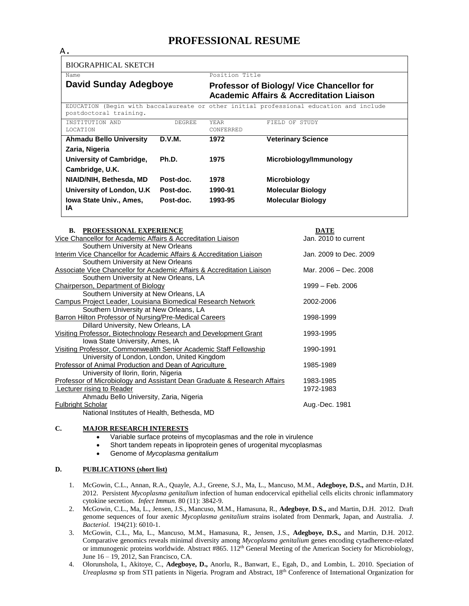# **PROFESSIONAL RESUME**

| А.                                   |               |                                                                                                                    |                           |
|--------------------------------------|---------------|--------------------------------------------------------------------------------------------------------------------|---------------------------|
| BIOGRAPHICAL SKETCH                  |               |                                                                                                                    |                           |
| Name<br><b>David Sunday Adegboye</b> |               | Position Title<br>Professor of Biology/ Vice Chancellor for<br><b>Academic Affairs &amp; Accreditation Liaison</b> |                           |
|                                      |               |                                                                                                                    |                           |
| INSTITUTION AND<br><b>LOCATION</b>   | <b>DEGREE</b> | <b>YEAR</b><br>CONFERRED                                                                                           | FIELD OF STUDY            |
| <b>Ahmadu Bello University</b>       | D.V.M.        | 1972                                                                                                               | <b>Veterinary Science</b> |
| Zaria, Nigeria                       |               |                                                                                                                    |                           |
| University of Cambridge,             | Ph.D.         | 1975                                                                                                               | Microbiology/Immunology   |
| Cambridge, U.K.                      |               |                                                                                                                    |                           |
| NIAID/NIH, Bethesda, MD              | Post-doc.     | 1978                                                                                                               | <b>Microbiology</b>       |
| University of London, U.K.           | Post-doc.     | 1990-91                                                                                                            | <b>Molecular Biology</b>  |
| <b>Iowa State Univ., Ames,</b><br>ΙA | Post-doc.     | 1993-95                                                                                                            | <b>Molecular Biology</b>  |

| <b>B. PROFESSIONAL EXPERIENCE</b>                                        | <b>DATE</b>                |
|--------------------------------------------------------------------------|----------------------------|
| Vice Chancellor for Academic Affairs & Accreditation Liaison             | Jan. 2010 to current       |
| Southern University at New Orleans                                       |                            |
| Interim Vice Chancellor for Academic Affairs & Accreditation Liaison     | Jan. 2009 to Dec. 2009     |
| Southern University at New Orleans                                       |                            |
| Associate Vice Chancellor for Academic Affairs & Accreditation Liaison   | Mar. 2006 - Dec. 2008      |
| Southern University at New Orleans, LA                                   |                            |
| <b>Chairperson, Department of Biology</b>                                | $1999 - \text{Feh}$ , 2006 |
| Southern University at New Orleans, LA                                   |                            |
| Campus Project Leader, Louisiana Biomedical Research Network             | 2002-2006                  |
| Southern University at New Orleans, LA                                   |                            |
| <b>Barron Hilton Professor of Nursing/Pre-Medical Careers</b>            | 1998-1999                  |
| Dillard University, New Orleans, LA                                      |                            |
| Visiting Professor, Biotechnology Research and Development Grant         | 1993-1995                  |
| Iowa State University, Ames, IA                                          |                            |
| Visiting Professor, Commonwealth Senior Academic Staff Fellowship        | 1990-1991                  |
| University of London, London, United Kingdom                             |                            |
| <b>Professor of Animal Production and Dean of Agriculture</b>            | 1985-1989                  |
| University of Ilorin, Ilorin, Nigeria                                    |                            |
| Professor of Microbiology and Assistant Dean Graduate & Research Affairs | 1983-1985                  |
| Lecturer rising to Reader                                                | 1972-1983                  |
| Ahmadu Bello University, Zaria, Nigeria                                  |                            |
| <b>Fulbright Scholar</b>                                                 | Aug.-Dec. 1981             |
| National Institutes of Health, Bethesda, MD                              |                            |
|                                                                          |                            |

## **C. MAJOR RESEARCH INTERESTS**

- Variable surface proteins of mycoplasmas and the role in virulence
- Short tandem repeats in lipoprotein genes of urogenital mycoplasmas
- Genome of *Mycoplasma genitalium*

### **D. PUBLICATIONS (short list)**

- 1. McGowin, C.L., Annan, R.A., Quayle, A.J., Greene, S.J., Ma, L., Mancuso, M.M., **Adegboye, D.S.,** and Martin, D.H. 2012. Persistent *Mycoplasma genitalium* infection of human endocervical epithelial cells elicits chronic inflammatory cytokine secretion. *Infect Immun.* 80 (11): 3842-9.
- 2. McGowin, C.L., Ma, L., Jensen, J.S., Mancuso, M.M., Hamasuna, R., **Adegboye**, **D**.**S.,** and Martin, D.H. 2012. Draft genome sequences of four axenic *Mycoplasma genitalium* strains isolated from Denmark, Japan, and Australia. *J. Bacteriol.* 194(21): 6010-1.
- 3. McGowin, C.L., Ma, L., Mancuso, M.M., Hamasuna, R., Jensen, J.S., **Adegboye, D.S.,** and Martin, D.H. 2012. Comparative genomics reveals minimal diversity among *Mycoplasma genitalium* genes encoding cytadherence-related or immunogenic proteins worldwide. Abstract #865. 112<sup>th</sup> General Meeting of the American Society for Microbiology, June 16 – 19, 2012, San Francisco, CA.
- 4. Olorunshola, I., Akitoye, C., **Adegboye, D.,** Anorlu, R., Banwart, E., Egah, D., and Lombin, L. 2010. Speciation of *Ureaplasma* sp from STI patients in Nigeria. Program and Abstract, 18<sup>th</sup> Conference of International Organization for